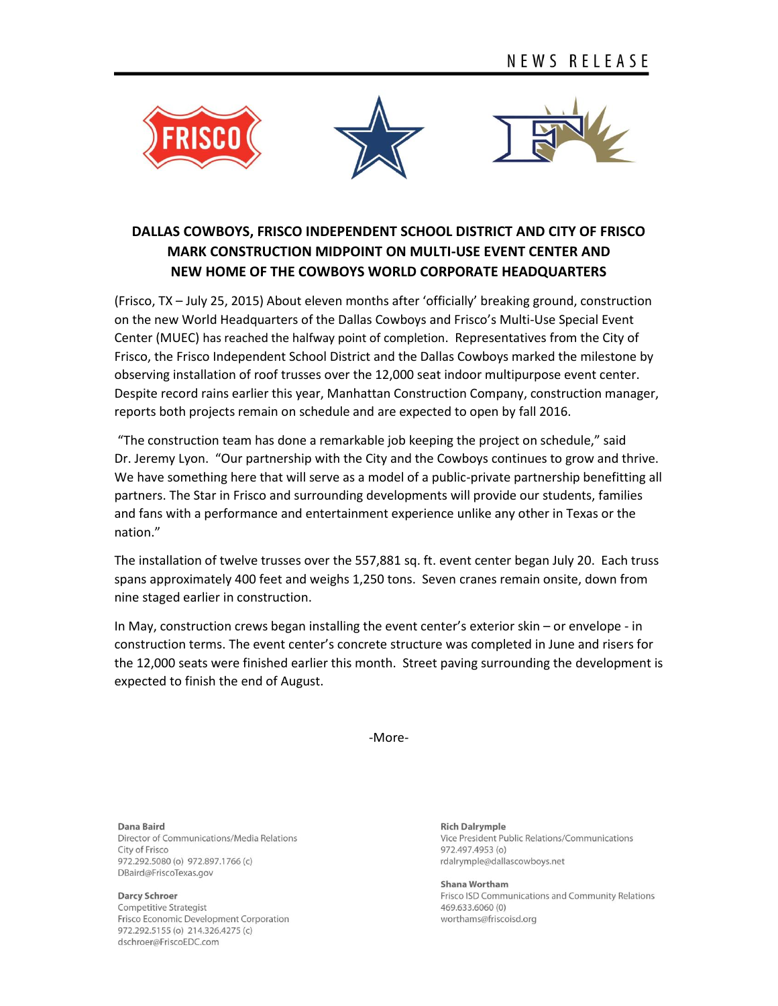

## **DALLAS COWBOYS, FRISCO INDEPENDENT SCHOOL DISTRICT AND CITY OF FRISCO MARK CONSTRUCTION MIDPOINT ON MULTI-USE EVENT CENTER AND NEW HOME OF THE COWBOYS WORLD CORPORATE HEADQUARTERS**

(Frisco, TX – July 25, 2015) About eleven months after 'officially' breaking ground, construction on the new World Headquarters of the Dallas Cowboys and Frisco's Multi-Use Special Event Center (MUEC) has reached the halfway point of completion. Representatives from the City of Frisco, the Frisco Independent School District and the Dallas Cowboys marked the milestone by observing installation of roof trusses over the 12,000 seat indoor multipurpose event center. Despite record rains earlier this year, Manhattan Construction Company, construction manager, reports both projects remain on schedule and are expected to open by fall 2016.

"The construction team has done a remarkable job keeping the project on schedule," said Dr. Jeremy Lyon. "Our partnership with the City and the Cowboys continues to grow and thrive. We have something here that will serve as a model of a public-private partnership benefitting all partners. The Star in Frisco and surrounding developments will provide our students, families and fans with a performance and entertainment experience unlike any other in Texas or the nation."

The installation of twelve trusses over the 557,881 sq. ft. event center began July 20. Each truss spans approximately 400 feet and weighs 1,250 tons. Seven cranes remain onsite, down from nine staged earlier in construction.

In May, construction crews began installing the event center's exterior skin – or envelope - in construction terms. The event center's concrete structure was completed in June and risers for the 12,000 seats were finished earlier this month. Street paving surrounding the development is expected to finish the end of August.

-More-

Dana Baird

Director of Communications/Media Relations City of Frisco 972.292.5080 (o) 972.897.1766 (c) DBaird@FriscoTexas.gov

**Darcy Schroer** 

**Competitive Strategist** Frisco Economic Development Corporation 972.292.5155 (o) 214.326.4275 (c) dschroer@FriscoEDC.com

**Rich Dalrymple** Vice President Public Relations/Communications 972.497.4953 (o) rdalrymple@dallascowboys.net

Shana Wortham Frisco ISD Communications and Community Relations 469.633.6060 (0) worthams@friscoisd.org